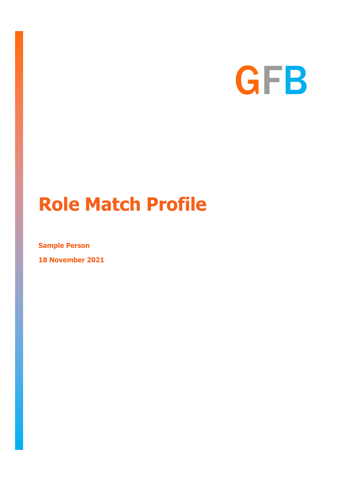

# **Role Match Profile**

**Sample Person**

**18 November 2021**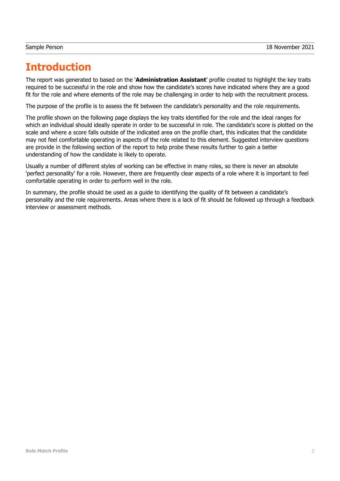# **Introduction**

The report was generated to based on the '**Administration Assistant**' profile created to highlight the key traits required to be successful in the role and show how the candidate's scores have indicated where they are a good fit for the role and where elements of the role may be challenging in order to help with the recruitment process.

The purpose of the profile is to assess the fit between the candidate's personality and the role requirements.

The profile shown on the following page displays the key traits identified for the role and the ideal ranges for which an individual should ideally operate in order to be successful in role. The candidate's score is plotted on the scale and where a score falls outside of the indicated area on the profile chart, this indicates that the candidate may not feel comfortable operating in aspects of the role related to this element. Suggested interview questions are provide in the following section of the report to help probe these results further to gain a better understanding of how the candidate is likely to operate.

Usually a number of different styles of working can be effective in many roles, so there is never an absolute 'perfect personality' for a role. However, there are frequently clear aspects of a role where it is important to feel comfortable operating in order to perform well in the role.

In summary, the profile should be used as a guide to identifying the quality of fit between a candidate's personality and the role requirements. Areas where there is a lack of fit should be followed up through a feedback interview or assessment methods.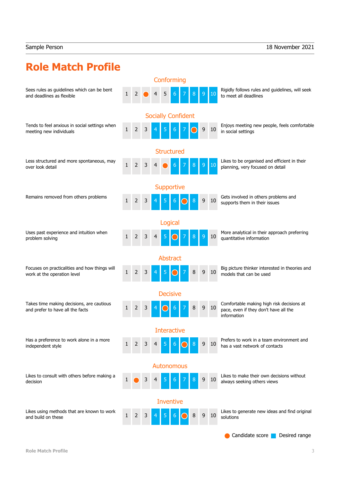# **Role Match Profile**

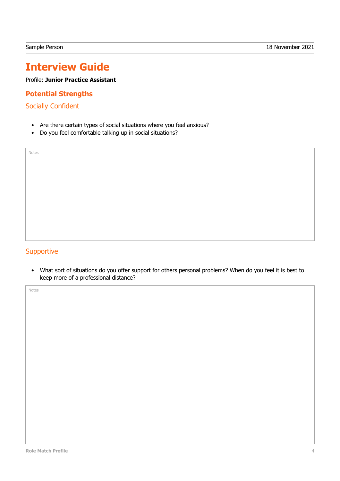# **Interview Guide**

Profile: **Junior Practice Assistant**

### **Potential Strengths**

Socially Confident

Notes

- Are there certain types of social situations where you feel anxious?
- Do you feel comfortable talking up in social situations?

#### **Supportive**

• What sort of situations do you offer support for others personal problems? When do you feel it is best to keep more of a professional distance?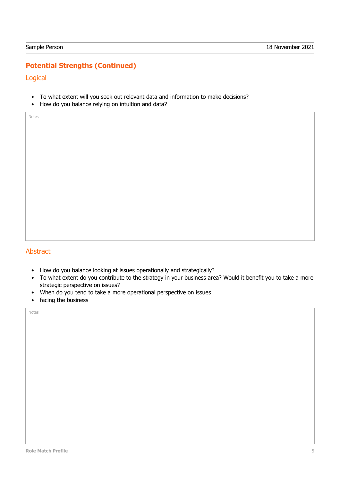## **Potential Strengths (Continued)**

Logical

- To what extent will you seek out relevant data and information to make decisions?
- How do you balance relying on intuition and data?

Notes

#### Abstract

- How do you balance looking at issues operationally and strategically?
- To what extent do you contribute to the strategy in your business area? Would it benefit you to take a more strategic perspective on issues?
- When do you tend to take a more operational perspective on issues
- facing the business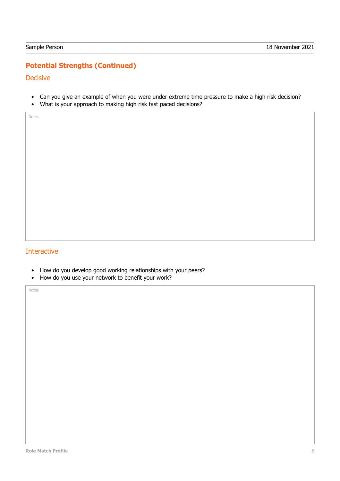## **Potential Strengths (Continued)**

**Decisive** 

- Can you give an example of when you were under extreme time pressure to make a high risk decision?
- What is your approach to making high risk fast paced decisions?

Notes

#### Interactive

- How do you develop good working relationships with your peers?
- How do you use your network to benefit your work?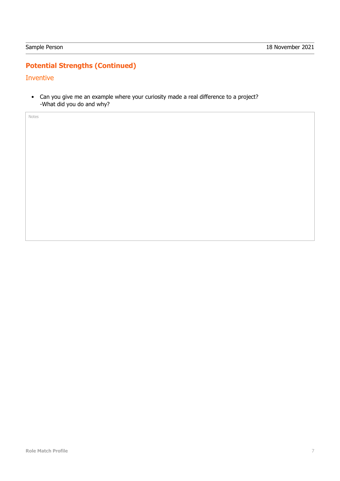# **Potential Strengths (Continued)**

#### Inventive

• Can you give me an example where your curiosity made a real difference to a project? -What did you do and why?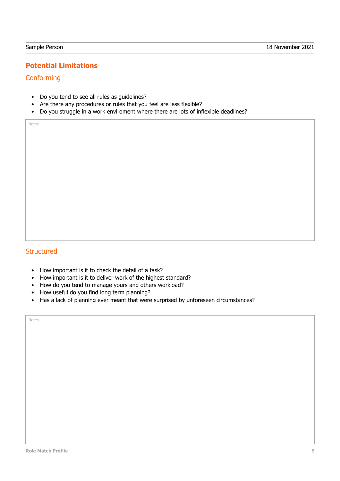## **Potential Limitations**

#### **Conforming**

- Do you tend to see all rules as guidelines?
- Are there any procedures or rules that you feel are less flexible?
- Do you struggle in a work enviroment where there are lots of inflexible deadlines?

Notes

#### **Structured**

- How important is it to check the detail of a task?
- How important is it to deliver work of the highest standard?
- How do you tend to manage yours and others workload?
- How useful do you find long term planning?
- Has a lack of planning ever meant that were surprised by unforeseen circumstances?

| Notes |  |
|-------|--|
|       |  |
|       |  |
|       |  |
|       |  |
|       |  |
|       |  |
|       |  |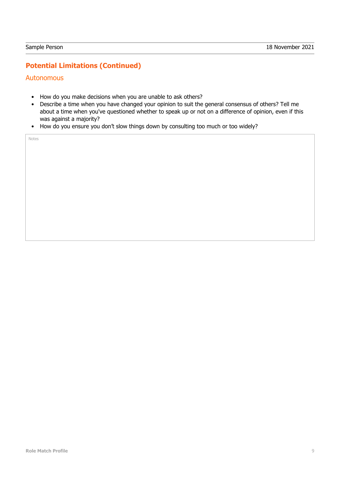## **Potential Limitations (Continued)**

#### **Autonomous**

- How do you make decisions when you are unable to ask others?
- Describe a time when you have changed your opinion to suit the general consensus of others? Tell me about a time when you've questioned whether to speak up or not on a difference of opinion, even if this was against a majority?
- How do you ensure you don't slow things down by consulting too much or too widely?